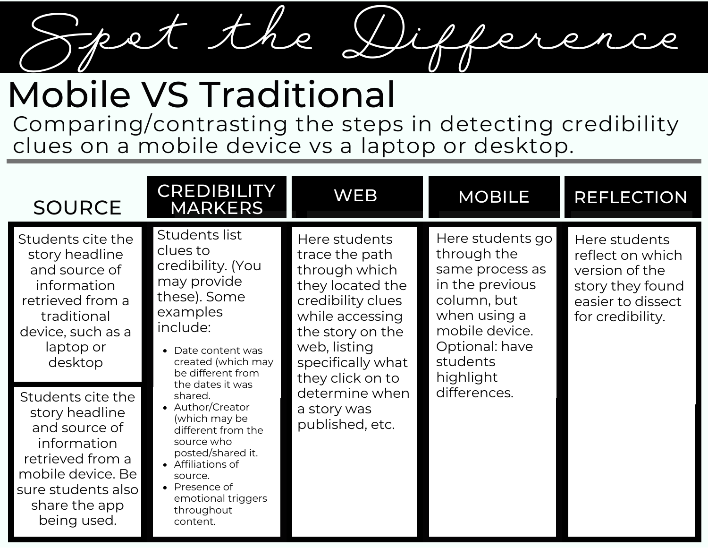

## Mobile VS Traditional

Comparing/contrasting the steps in detecting credibility clues on a mobile device vs a laptop or desktop.

| <b>SOURCE</b>                                                                                                                                                      | <b>CREDIBILITY</b><br><b>MARKERS</b>                                                                                                                                                                                                                                                                                                                                                                 | <b>WEB</b>                                                                                                                                                                                                                                    | <b>MOBILE</b>                                                                                                                                                                     | <b>REFLECTION</b>                                                                                                |
|--------------------------------------------------------------------------------------------------------------------------------------------------------------------|------------------------------------------------------------------------------------------------------------------------------------------------------------------------------------------------------------------------------------------------------------------------------------------------------------------------------------------------------------------------------------------------------|-----------------------------------------------------------------------------------------------------------------------------------------------------------------------------------------------------------------------------------------------|-----------------------------------------------------------------------------------------------------------------------------------------------------------------------------------|------------------------------------------------------------------------------------------------------------------|
| Students cite the<br>story headline<br>and source of<br>information<br>retrieved from a<br>traditional<br>device, such as a<br>laptop or<br>desktop                | Students list<br>clues to<br>credibility. (You<br>may provide<br>these). Some<br>examples<br>include:<br>• Date content was<br>created (which may<br>be different from<br>the dates it was<br>shared.<br>• Author/Creator<br>(which may be<br>different from the<br>source who<br>posted/shared it.<br>• Affiliations of<br>source.<br>• Presence of<br>emotional triggers<br>throughout<br>content. | Here students<br>trace the path<br>through which<br>they located the<br>credibility clues<br>while accessing<br>the story on the<br>web, listing<br>specifically what<br>they click on to<br>determine when<br>a story was<br>published, etc. | Here students go<br>through the<br>same process as<br>in the previous<br>column, but<br>when using a<br>mobile device.<br>Optional: have<br>students<br>highlight<br>differences. | Here students<br>reflect on which<br>version of the<br>story they found<br>easier to dissect<br>for credibility. |
| Students cite the<br>story headline<br>and source of<br>information<br>retrieved from a<br>mobile device. Be<br>sure students also<br>share the app<br>being used. |                                                                                                                                                                                                                                                                                                                                                                                                      |                                                                                                                                                                                                                                               |                                                                                                                                                                                   |                                                                                                                  |